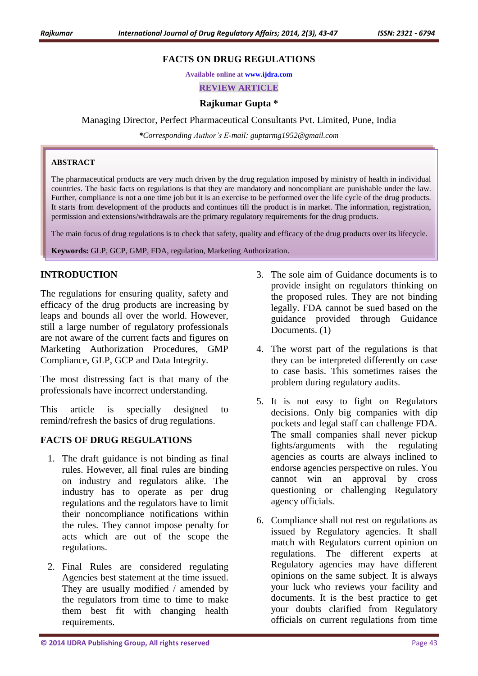# **FACTS ON DRUG REGULATIONS**

**Available online at [www.ijdra.com](http://www.ijdra.com/)**

**REVIEW ARTICLE**

### **Rajkumar Gupta \***

#### Managing Director, Perfect Pharmaceutical Consultants Pvt. Limited, Pune, India

*\*Corresponding Author's E-mail: guptarmg1952@gmail.com*

#### **ABSTRACT**

The pharmaceutical products are very much driven by the drug regulation imposed by ministry of health in individual countries. The basic facts on regulations is that they are mandatory and noncompliant are punishable under the law. Further, compliance is not a one time job but it is an exercise to be performed over the life cycle of the drug products. It starts from development of the products and continues till the product is in market. The information, registration, permission and extensions/withdrawals are the primary regulatory requirements for the drug products.

The main focus of drug regulations is to check that safety, quality and efficacy of the drug products over its lifecycle.

**Keywords:** GLP, GCP, GMP, FDA, regulation, Marketing Authorization.

# **INTRODUCTION**

The regulations for ensuring quality, safety and efficacy of the drug products are increasing by leaps and bounds all over the world. However, still a large number of regulatory professionals are not aware of the current facts and figures on Marketing Authorization Procedures, GMP Compliance, GLP, GCP and Data Integrity.

The most distressing fact is that many of the professionals have incorrect understanding.

This article is specially designed to remind/refresh the basics of drug regulations.

### **FACTS OF DRUG REGULATIONS**

- 1. The draft guidance is not binding as final rules. However, all final rules are binding on industry and regulators alike. The industry has to operate as per drug regulations and the regulators have to limit their noncompliance notifications within the rules. They cannot impose penalty for acts which are out of the scope the regulations.
- 2. Final Rules are considered regulating Agencies best statement at the time issued. They are usually modified / amended by the regulators from time to time to make them best fit with changing health requirements.
- 3. The sole aim of Guidance documents is to provide insight on regulators thinking on the proposed rules. They are not binding legally. FDA cannot be sued based on the guidance provided through Guidance Documents. (1)
- 4. The worst part of the regulations is that they can be interpreted differently on case to case basis. This sometimes raises the problem during regulatory audits.
- 5. It is not easy to fight on Regulators decisions. Only big companies with dip pockets and legal staff can challenge FDA. The small companies shall never pickup fights/arguments with the regulating agencies as courts are always inclined to endorse agencies perspective on rules. You cannot win an approval by cross questioning or challenging Regulatory agency officials.
- 6. Compliance shall not rest on regulations as issued by Regulatory agencies. It shall match with Regulators current opinion on regulations. The different experts at Regulatory agencies may have different opinions on the same subject. It is always your luck who reviews your facility and documents. It is the best practice to get your doubts clarified from Regulatory officials on current regulations from time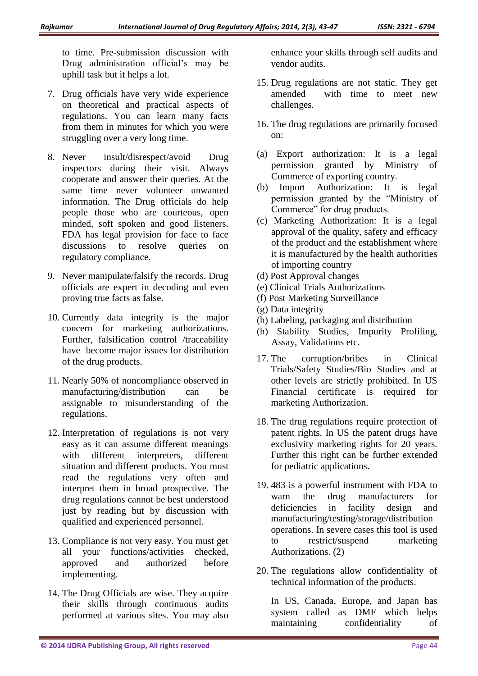to time. Pre-submission discussion with Drug administration official's may be uphill task but it helps a lot.

- 7. Drug officials have very wide experience on theoretical and practical aspects of regulations. You can learn many facts from them in minutes for which you were struggling over a very long time.
- 8. Never insult/disrespect/avoid Drug inspectors during their visit. Always cooperate and answer their queries. At the same time never volunteer unwanted information. The Drug officials do help people those who are courteous, open minded, soft spoken and good listeners. FDA has legal provision for face to face discussions to resolve queries on regulatory compliance.
- 9. Never manipulate/falsify the records. Drug officials are expert in decoding and even proving true facts as false.
- 10. Currently data integrity is the major concern for marketing authorizations. Further, falsification control /traceability have become major issues for distribution of the drug products.
- 11. Nearly 50% of noncompliance observed in manufacturing/distribution can be assignable to misunderstanding of the regulations.
- 12. Interpretation of regulations is not very easy as it can assume different meanings with different interpreters, different situation and different products. You must read the regulations very often and interpret them in broad prospective. The drug regulations cannot be best understood just by reading but by discussion with qualified and experienced personnel.
- 13. Compliance is not very easy. You must get all your functions/activities checked, approved and authorized before implementing.
- 14. The Drug Officials are wise. They acquire their skills through continuous audits performed at various sites. You may also

enhance your skills through self audits and vendor audits.

- 15. Drug regulations are not static. They get amended with time to meet new challenges.
- 16. The drug regulations are primarily focused on:
- (a) Export authorization: It is a legal permission granted by Ministry of Commerce of exporting country.
- (b) Import Authorization: It is legal permission granted by the "Ministry of Commerce" for drug products.
- (c) Marketing Authorization: It is a legal approval of the quality, safety and efficacy of the product and the establishment where it is manufactured by the health authorities of importing country
- (d) Post Approval changes
- (e) Clinical Trials Authorizations
- (f) Post Marketing Surveillance
- (g) Data integrity
- (h) Labeling, packaging and distribution
- (h) Stability Studies, Impurity Profiling, Assay, Validations etc.
- 17. The corruption/bribes in Clinical Trials/Safety Studies/Bio Studies and at other levels are strictly prohibited. In US Financial certificate is required for marketing Authorization.
- 18. The drug regulations require protection of patent rights. In US the patent drugs have exclusivity marketing rights for 20 years. Further this right can be further extended for pediatric applications**.**
- 19. 483 is a powerful instrument with FDA to warn the drug manufacturers for deficiencies in facility design and manufacturing/testing/storage/distribution operations. In severe cases this tool is used to restrict/suspend marketing Authorizations. (2)
- 20. The regulations allow confidentiality of technical information of the products.

In US, Canada, Europe, and Japan has system called as DMF which helps maintaining confidentiality of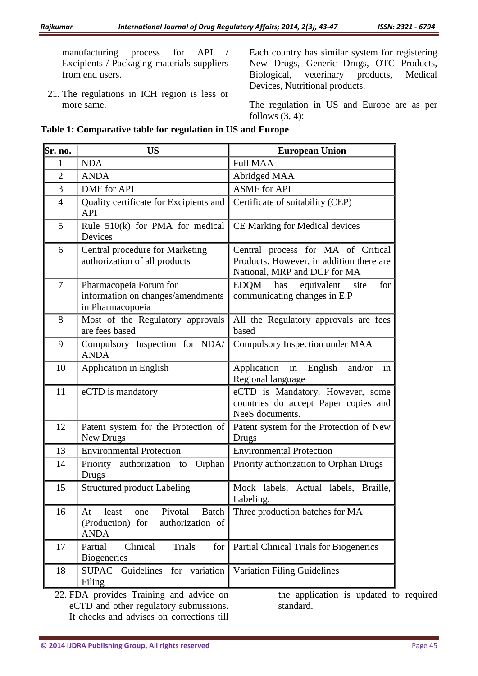manufacturing process for API / Excipients / Packaging materials suppliers from end users.

21. The regulations in ICH region is less or more same.

Each country has similar system for registering New Drugs, Generic Drugs, OTC Products, Biological, veterinary products, Medical Devices, Nutritional products.

The regulation in US and Europe are as per follows  $(3, 4)$ :

| Sr. no.                                                                                                                         | <b>US</b>                                                                                     | <b>European Union</b>                                                                                          |
|---------------------------------------------------------------------------------------------------------------------------------|-----------------------------------------------------------------------------------------------|----------------------------------------------------------------------------------------------------------------|
| 1                                                                                                                               | <b>NDA</b>                                                                                    | <b>Full MAA</b>                                                                                                |
| $\mathfrak{2}$                                                                                                                  | <b>ANDA</b>                                                                                   | Abridged MAA                                                                                                   |
| 3                                                                                                                               | <b>DMF</b> for API                                                                            | <b>ASMF</b> for API                                                                                            |
| $\overline{4}$                                                                                                                  | Quality certificate for Excipients and<br><b>API</b>                                          | Certificate of suitability (CEP)                                                                               |
| 5                                                                                                                               | Rule $510(k)$ for PMA for medical<br>Devices                                                  | CE Marking for Medical devices                                                                                 |
| 6                                                                                                                               | Central procedure for Marketing<br>authorization of all products                              | Central process for MA of Critical<br>Products. However, in addition there are<br>National, MRP and DCP for MA |
| 7                                                                                                                               | Pharmacopeia Forum for<br>information on changes/amendments<br>in Pharmacopoeia               | EDQM has equivalent site<br>for<br>communicating changes in E.P                                                |
| 8                                                                                                                               | Most of the Regulatory approvals<br>are fees based                                            | All the Regulatory approvals are fees<br>based                                                                 |
| 9                                                                                                                               | Compulsory Inspection for NDA/<br><b>ANDA</b>                                                 | Compulsory Inspection under MAA                                                                                |
| 10                                                                                                                              | Application in English                                                                        | Application in English<br>and/or<br>in<br>Regional language                                                    |
| 11                                                                                                                              | eCTD is mandatory                                                                             | eCTD is Mandatory. However, some<br>countries do accept Paper copies and<br>NeeS documents.                    |
| 12                                                                                                                              | Patent system for the Protection of<br>New Drugs                                              | Patent system for the Protection of New<br>Drugs                                                               |
| 13                                                                                                                              | <b>Environmental Protection</b>                                                               | <b>Environmental Protection</b>                                                                                |
| 14                                                                                                                              | Priority authorization to<br>Orphan<br><b>Drugs</b>                                           | Priority authorization to Orphan Drugs                                                                         |
| 15                                                                                                                              | <b>Structured product Labeling</b>                                                            | Mock labels, Actual labels, Braille,<br>Labeling.                                                              |
| 16                                                                                                                              | Pivotal<br>Batch<br>least<br>At<br>one<br>(Production) for<br>authorization of<br><b>ANDA</b> | Three production batches for MA                                                                                |
| 17                                                                                                                              | Partial<br>Clinical<br><b>Trials</b><br>for<br><b>Biogenerics</b>                             | Partial Clinical Trials for Biogenerics                                                                        |
| 18                                                                                                                              | variation<br>SUPAC Guidelines<br>for<br>Filing                                                | <b>Variation Filing Guidelines</b>                                                                             |
| 22. FDA provides Training and advice on<br>the application is updated to<br>eCTD and other regulatory submissions.<br>standard. |                                                                                               |                                                                                                                |

#### **Table 1: Comparative table for regulation in US and Europe**

It checks and advises on corrections till

o required standard.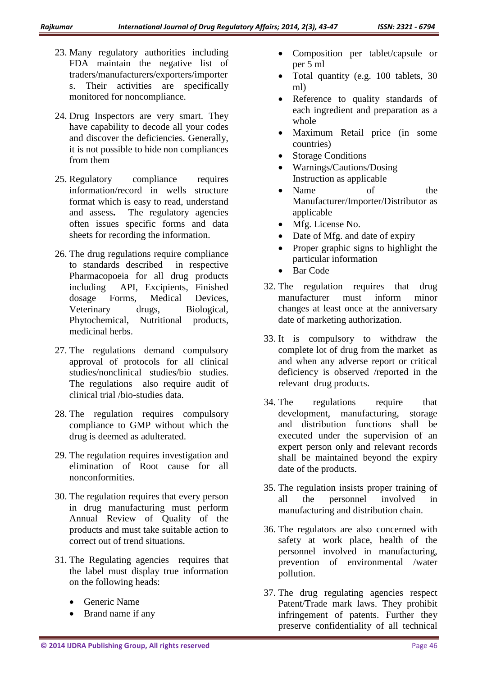- 23. Many regulatory authorities including FDA maintain the negative list of traders/manufacturers/exporters/importer s. Their activities are specifically monitored for noncompliance.
- 24. Drug Inspectors are very smart. They have capability to decode all your codes and discover the deficiencies. Generally, it is not possible to hide non compliances from them
- 25. Regulatory compliance requires information/record in wells structure format which is easy to read, understand and assess**.** The regulatory agencies often issues specific forms and data sheets for recording the information.
- 26. The drug regulations require compliance to standards described in respective Pharmacopoeia for all drug products including API, Excipients, Finished dosage Forms, Medical Devices, Veterinary drugs, Biological, Phytochemical, Nutritional products, medicinal herbs.
- 27. The regulations demand compulsory approval of protocols for all clinical studies/nonclinical studies/bio studies. The regulations also require audit of clinical trial /bio-studies data.
- 28. The regulation requires compulsory compliance to GMP without which the drug is deemed as adulterated.
- 29. The regulation requires investigation and elimination of Root cause for all nonconformities.
- 30. The regulation requires that every person in drug manufacturing must perform Annual Review of Quality of the products and must take suitable action to correct out of trend situations.
- 31. The Regulating agencies requires that the label must display true information on the following heads:
	- Generic Name
	- Brand name if any
- Composition per tablet/capsule or per 5 ml
- Total quantity (e.g. 100 tablets, 30 ml)
- Reference to quality standards of each ingredient and preparation as a whole
- Maximum Retail price (in some countries)
- Storage Conditions
- Warnings/Cautions/Dosing Instruction as applicable
- Name of the Manufacturer/Importer/Distributor as applicable
- Mfg. License No.
- Date of Mfg. and date of expiry
- Proper graphic signs to highlight the particular information
- Bar Code
- 32. The regulation requires that drug manufacturer must inform minor changes at least once at the anniversary date of marketing authorization.
- 33. It is compulsory to withdraw the complete lot of drug from the market as and when any adverse report or critical deficiency is observed /reported in the relevant drug products.
- 34. The regulations require that development, manufacturing, storage and distribution functions shall be executed under the supervision of an expert person only and relevant records shall be maintained beyond the expiry date of the products.
- 35. The regulation insists proper training of all the personnel involved in manufacturing and distribution chain.
- 36. The regulators are also concerned with safety at work place, health of the personnel involved in manufacturing, prevention of environmental /water pollution.
- 37. The drug regulating agencies respect Patent/Trade mark laws. They prohibit infringement of patents. Further they preserve confidentiality of all technical